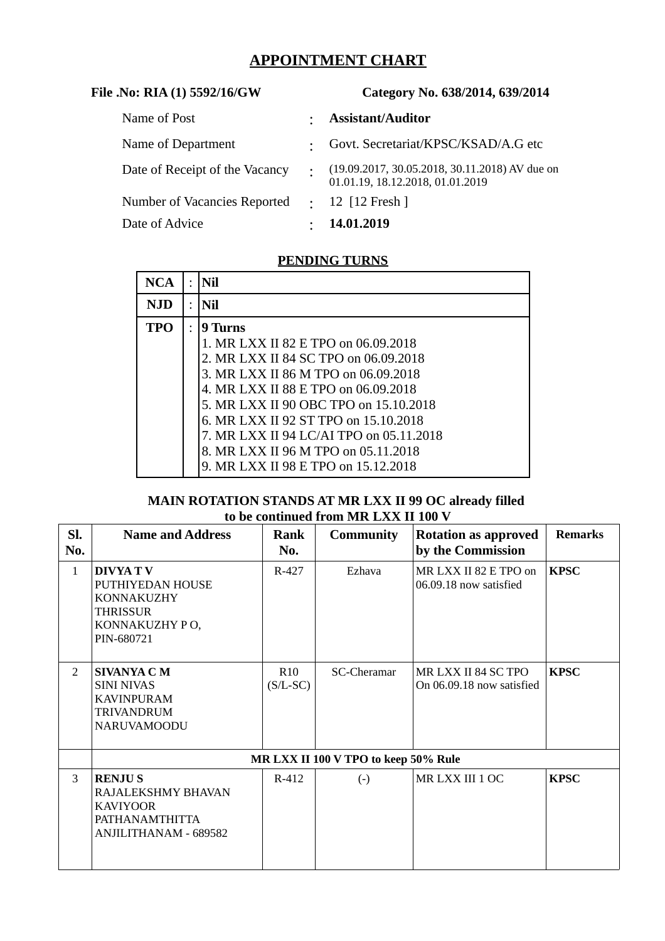# **APPOINTMENT CHART**

| File .No: RIA (1) 5592/16/GW   | Category No. 638/2014, 639/2014                                                   |
|--------------------------------|-----------------------------------------------------------------------------------|
| Name of Post                   | <b>Assistant/Auditor</b>                                                          |
| Name of Department             | Govt. Secretariat/KPSC/KSAD/A.G etc                                               |
| Date of Receipt of the Vacancy | $(19.09.2017, 30.05.2018, 30.11.2018)$ AV due on 01.01.19, 18.12.2018, 01.01.2019 |
| Number of Vacancies Reported   | $\therefore$ 12 [12 Fresh]                                                        |
| Date of Advice                 | 14.01.2019                                                                        |

## **PENDING TURNS**

| <b>NCA</b> | Nil                                     |
|------------|-----------------------------------------|
| <b>NJD</b> | Nil                                     |
| <b>TPO</b> | 9 Turns                                 |
|            | 1. MR LXX II 82 E TPO on 06.09.2018     |
|            | 2. MR LXX II 84 SC TPO on 06.09.2018    |
|            | 3. MR LXX II 86 M TPO on 06.09.2018     |
|            | 4. MR LXX II 88 E TPO on 06.09.2018     |
|            | 5. MR LXX II 90 OBC TPO on 15.10.2018   |
|            | 6. MR LXX II 92 ST TPO on 15.10.2018    |
|            | 7. MR LXX II 94 LC/AI TPO on 05.11.2018 |
|            | 8. MR LXX II 96 M TPO on 05.11.2018     |
|            | 9. MR LXX II 98 E TPO on 15.12.2018     |

### **MAIN ROTATION STANDS AT MR LXX II 99 OC already filled to be continued from MR LXX II 100 V**

| SI.<br>No.     | <b>Name and Address</b>                                                                                 | Rank<br>No.                          | <b>Community</b>   | <b>Rotation as approved</b><br>by the Commission | <b>Remarks</b> |  |  |
|----------------|---------------------------------------------------------------------------------------------------------|--------------------------------------|--------------------|--------------------------------------------------|----------------|--|--|
| $\mathbf{1}$   | <b>DIVYA TV</b><br>PUTHIYEDAN HOUSE<br>KONNAKUZHY<br>THRISSUR<br>KONNAKUZHY PO,<br>PIN-680721           | $R-427$                              | Ezhava             | MR LXX II 82 E TPO on<br>06.09.18 now satisfied  | <b>KPSC</b>    |  |  |
| $\overline{2}$ | <b>SIVANYA C M</b><br><b>SINI NIVAS</b><br><b>KAVINPURAM</b><br><b>TRIVANDRUM</b><br><b>NARUVAMOODU</b> | R <sub>10</sub><br>$(S/L-SC)$        | <b>SC-Cheramar</b> | MR LXX II 84 SC TPO<br>On 06.09.18 now satisfied | <b>KPSC</b>    |  |  |
|                |                                                                                                         | MR LXX II 100 V TPO to keep 50% Rule |                    |                                                  |                |  |  |
| 3              | <b>RENJUS</b><br>RAJALEKSHMY BHAVAN<br><b>KAVIYOOR</b><br>PATHANAMTHITTA<br>ANJILITHANAM - 689582       | $R-412$                              | $\left( -\right)$  | MR LXX III 1 OC                                  | <b>KPSC</b>    |  |  |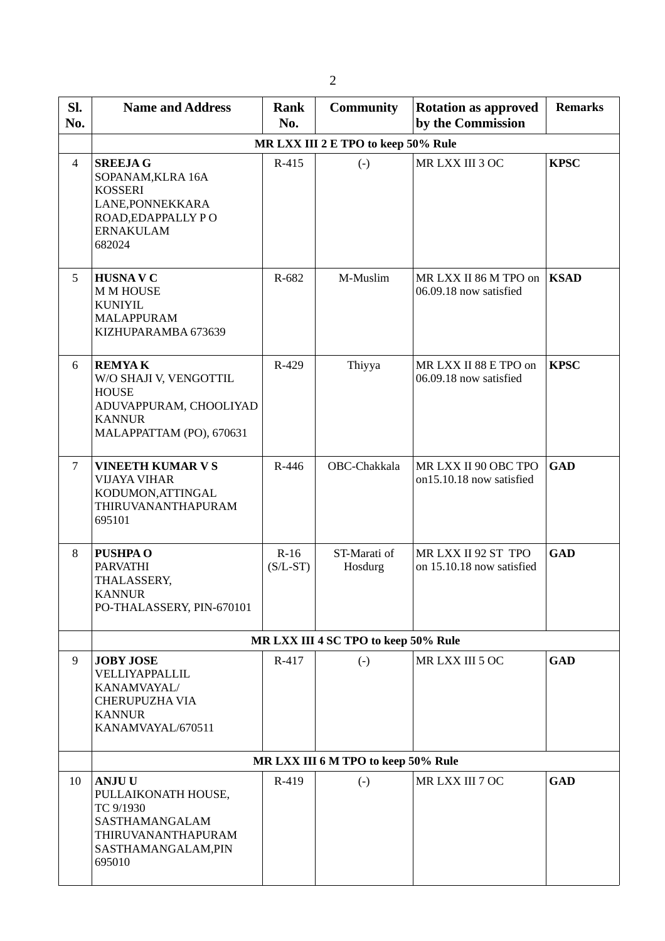| SI.<br>No.     | <b>Name and Address</b>                                                                                                        | <b>Rank</b><br>No.                   | <b>Community</b>                    | <b>Rotation as approved</b><br>by the Commission | <b>Remarks</b> |
|----------------|--------------------------------------------------------------------------------------------------------------------------------|--------------------------------------|-------------------------------------|--------------------------------------------------|----------------|
|                |                                                                                                                                |                                      | MR LXX III 2 E TPO to keep 50% Rule |                                                  |                |
| $\overline{4}$ | <b>SREEJAG</b><br>SOPANAM, KLRA 16A<br><b>KOSSERI</b><br>LANE, PONNEKKARA<br>ROAD, EDAPPALLY PO<br><b>ERNAKULAM</b><br>682024  |                                      | $(-)$                               | MR LXX III 3 OC                                  | <b>KPSC</b>    |
| 5              | <b>HUSNAV C</b><br><b>M M HOUSE</b><br><b>KUNIYIL</b><br><b>MALAPPURAM</b><br>KIZHUPARAMBA 673639                              | R-682                                | M-Muslim                            | MR LXX II 86 M TPO on<br>06.09.18 now satisfied  | <b>KSAD</b>    |
| 6              | <b>REMYAK</b><br>W/O SHAJI V, VENGOTTIL<br><b>HOUSE</b><br>ADUVAPPURAM, CHOOLIYAD<br><b>KANNUR</b><br>MALAPPATTAM (PO), 670631 | R-429                                | Thiyya                              | MR LXX II 88 E TPO on<br>06.09.18 now satisfied  | <b>KPSC</b>    |
| $\overline{7}$ | <b>VINEETH KUMAR V S</b><br><b>VIJAYA VIHAR</b><br>KODUMON, ATTINGAL<br>THIRUVANANTHAPURAM<br>695101                           | R-446                                | OBC-Chakkala                        | MR LXX II 90 OBC TPO<br>on15.10.18 now satisfied | <b>GAD</b>     |
| 8              | <b>PUSHPA O</b><br><b>PARVATHI</b><br>THALASSERY,<br><b>KANNUR</b><br>PO-THALASSERY, PIN-670101                                | $R-16$<br>$(S/L-ST)$                 | ST-Marati of<br>Hosdurg             | MRLXXII 92 ST TPO<br>on 15.10.18 now satisfied   | <b>GAD</b>     |
|                |                                                                                                                                | MR LXX III 4 SC TPO to keep 50% Rule |                                     |                                                  |                |
| 9              | <b>JOBY JOSE</b><br>VELLIYAPPALLIL<br>KANAMVAYAL/<br><b>CHERUPUZHA VIA</b><br><b>KANNUR</b><br>KANAMVAYAL/670511               | R-417                                | $(-)$                               | MR LXX III 5 OC                                  | <b>GAD</b>     |
|                |                                                                                                                                |                                      | MR LXX III 6 M TPO to keep 50% Rule |                                                  |                |
| 10             | <b>ANJUU</b><br>PULLAIKONATH HOUSE,<br>TC 9/1930<br>SASTHAMANGALAM<br>THIRUVANANTHAPURAM<br>SASTHAMANGALAM, PIN<br>695010      | R-419                                | $(-)$                               | MR LXX III 7 OC                                  | <b>GAD</b>     |